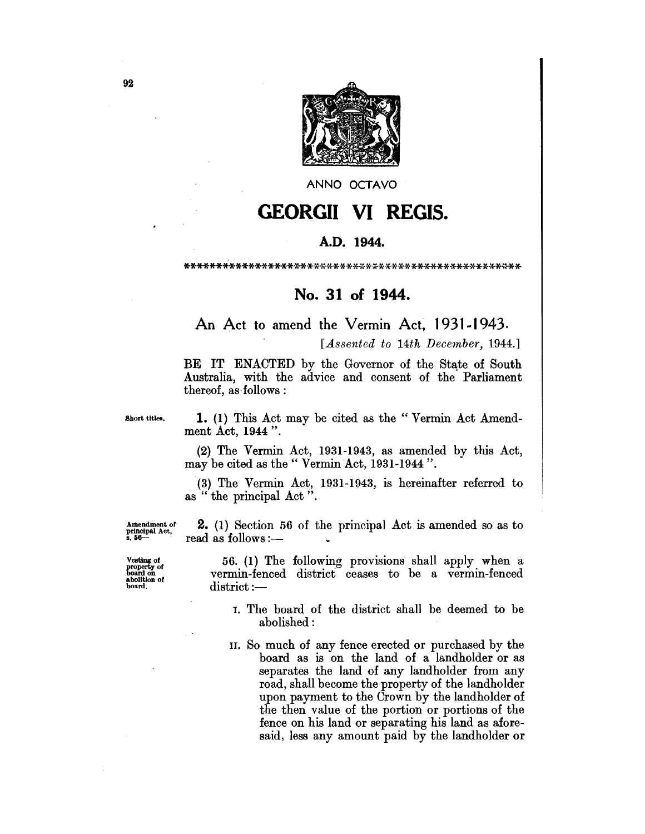

ANNO OCTAVO

## **GEORGII VI REGIS.**

## A.D. 1944.

## No. 31 of 1944.

## An Act to amend the Vermin Act, 1931-1943.

[Assented to 14th December, 1944.]

BE IT ENACTED by the Governor of the State of South Australia, with the advice and consent of the Parliament thereof, as follows:

Short titles.

1. (1) This Act may be cited as the "Vermin Act Amendment Act, 1944".

 $(2)$  The Vermin Act, 1931-1943, as amended by this Act, may be cited as the "Vermin Act, 1931-1944".

(3) The Vermin Act, 1931-1943, is hereinafter referred to as "the principal Act".

Amendment of<br>principal Act,<br>s. 56---

Vesting of<br>property of<br>board on<br>abolition of<br>board.

**2.** (1) Section 56 of the principal Act is amended so as to read as follows :-

56. (1) The following provisions shall apply when a vermin-fenced district ceases to be a vermin-fenced  $district :=$ 

- I. The board of the district shall be deemed to be abolished:
- II. So much of any fence erected or purchased by the board as is on the land of a landholder or as separates the land of any landholder from any road, shall become the property of the landholder upon payment to the Crown by the landholder of the then value of the portion or portions of the fence on his land or separating his land as aforesaid, less any amount paid by the landholder or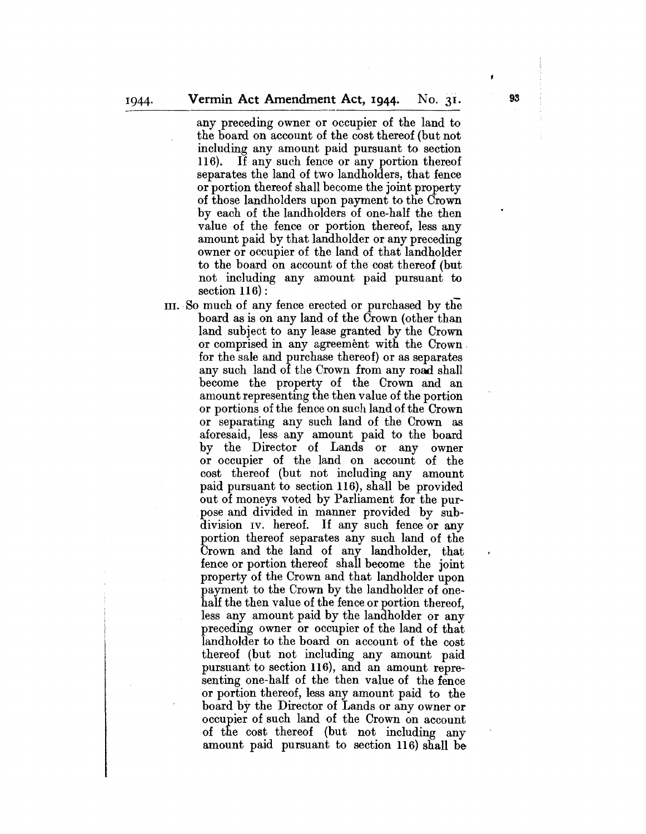any preceding owner or occupier of the land to the board on account of the cost thereof (but not including any amount paid pursuant to section 116). If any such fence or any portion thereof separates the land of two landholders, that fence or portion thereof shall become the joint property of those landholders upon payment to the Crown by each of the landholders of one-half the then value of the fence or portion thereof, less any amount paid by that landholder or any preceding owner or occupier of the land of that landholder to the board on account of the cost thereof (but not including any amount paid pursuant to section 116) :

III. SO much of any fence erected or purchased by the board as is on any land of the Crown (other than land subject to any lease granted by the Crown or comprised in any agreement with the Crown. for the sale and purchase thereof) or as separates any such land of the Crown from any road shall become the property of the Crown and an amount representing the then value of the portion or portions of the fence on such land of the Crown or separating any such land of the Crown as aforesaid, less any amount paid to the board by the Director of Lands or any owner or occupier of the land on account of the cost thereof (but not including any amount paid pursuant to section 116), shall be provided out of moneys voted by Parliament for the purpose and divided in manner provided by subdivision IV. hereof. If any such fence or any portion thereof separates any such land of the Crown and the land of any landholder, that fence or portion thereof shall become the joint property of the Crown and that landholder upon payment to the Crown by the landholder of onehalf the then value of the fence or portion thereof, less any amount paid by the landholder or any preceding owner or occupier of the land of that landholder to the board on account of the cost thereof (but not including any amount paid pursuant to section 116), and an amount representing one-half of the then value of the fence or portion thereof, less any amount paid to the board by the Director of Lands or any owner or occupier of such land of the Crown on account of the cost thereof (but not including any amount paid pursuant to section 116) shall be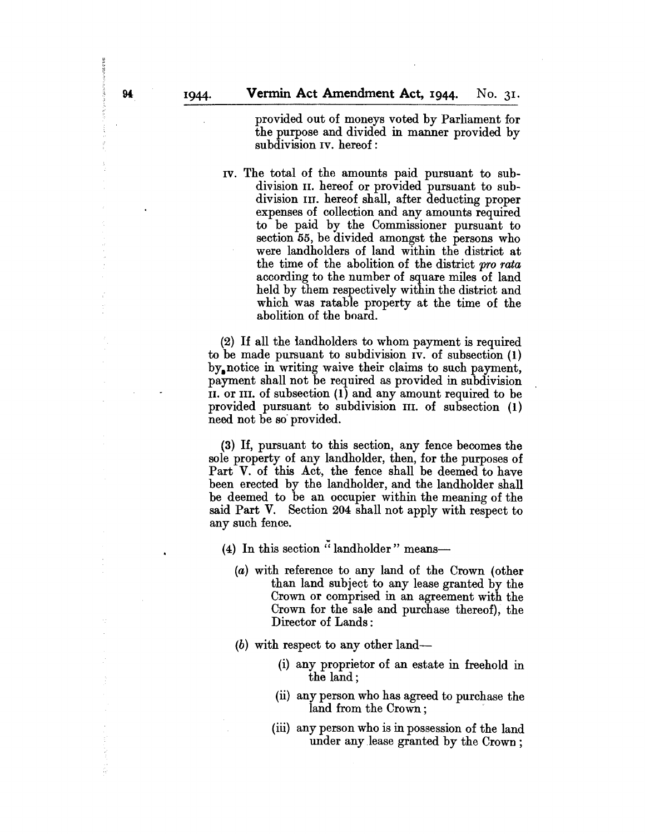provided out of moneys voted by Parliament for the purpose and divided in manner provided by subdivision IV. hereof:

IV. The total of the amounts paid pursuant to subdivision II. hereof or provided pursuant to subdivision III. hereof shall, after deducting proper expenses of collection and any amounts required to be paid by the Commissioner pursuant to section 55, be divided amongst the persons who were landholders of land within the district at the time of the abolition of the district *pro rata*  according to the number of square miles of land held by them respectively within the district and which was ratable property at the time of the abolition of the board.

(2) If all the landholders to whom payment is required to be made pursuant to subdivision IV. of subsection (1) by. notice in writing waive their claims to such payment, payment shall not be required as provided in subdivision II. or III. of subsection (1) and any amount required to be provided pursuant to subdivision III. of subsection (1) need not be so· provided.

(3) If, pursuant to this section, any fence becomes the sole property of any landholder, then, for the purposes of Part V. of this Act, the fence shall be deemed to have been erected by the landholder, and the landholder shall be deemed to be an occupier within the meaning of the said Part V. Section 204 shall not apply with respect to any such fence.

(4) In this section  $\ddot{\cdot}$  landholder" means--

- (a) with reference to any land of the Crown (other than land subject to any lease granted by the Crown or comprised in an agreement with the Crown for the sale and purchase thereof), the Director of Lands:
- $(b)$  with respect to any other land-
	- (i) any proprietor of an estate in freehold in the land;
	- (ii) any person who has agreed to purchase the land from the Crown;
	- (iii) any person who is in possession of the land under any lease granted by the Crown;